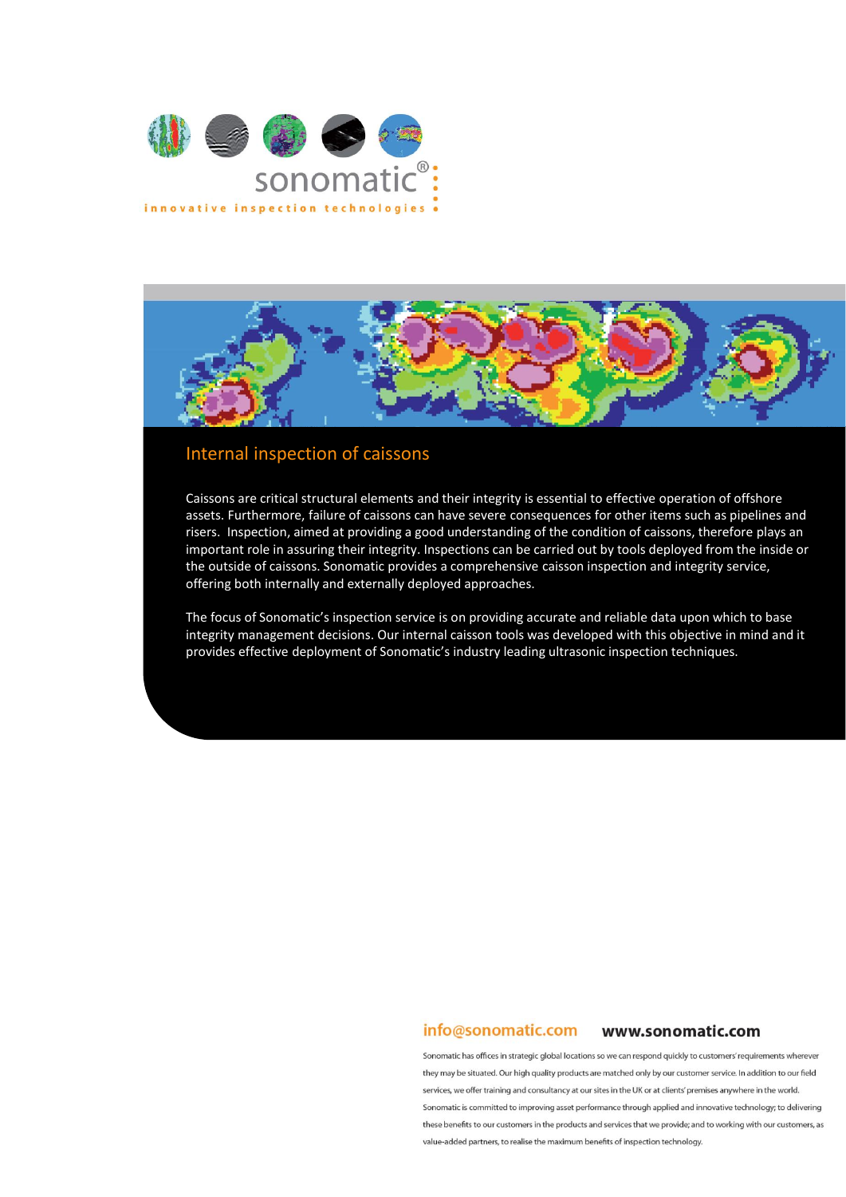



# Internal inspection of caissons

Caissons are critical structural elements and their integrity is essential to effective operation of offshore assets. Furthermore, failure of caissons can have severe consequences for other items such as pipelines and risers. Inspection, aimed at providing a good understanding of the condition of caissons, therefore plays an important role in assuring their integrity. Inspections can be carried out by tools deployed from the inside or the outside of caissons. Sonomatic provides a comprehensive caisson inspection and integrity service, offering both internally and externally deployed approaches.

The focus of Sonomatic's inspection service is on providing accurate and reliable data upon which to base integrity management decisions. Our internal caisson tools was developed with this objective in mind and it provides effective deployment of Sonomatic's industry leading ultrasonic inspection techniques.

#### info@sonomatic.com www.sonomatic.com

Sonomatic has offices in strategic global locations so we can respond quickly to customers' requirements wherever they may be situated. Our high quality products are matched only by our customer service. In addition to our field services, we offer training and consultancy at our sites in the UK or at clients' premises anywhere in the world. Sonomatic is committed to improving asset performance through applied and innovative technology; to delivering these benefits to our customers in the products and services that we provide; and to working with our customers, as value-added partners, to realise the maximum benefits of inspection technology.